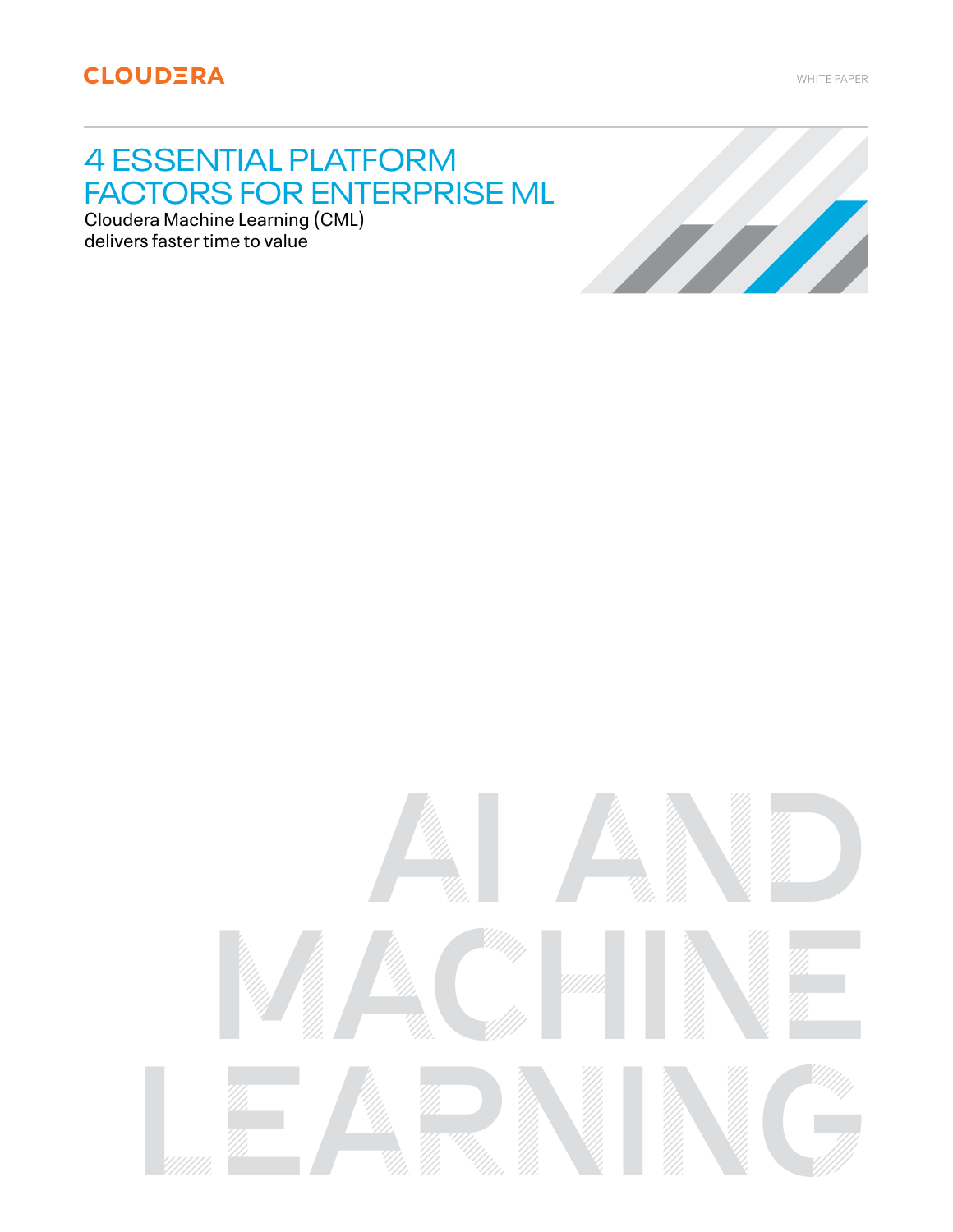WHITE PAPER

# 4 ESSENTIAL PLATFORM FACTORS FOR ENTERPRISE ML

Cloudera Machine Learning (CML) delivers faster time to value



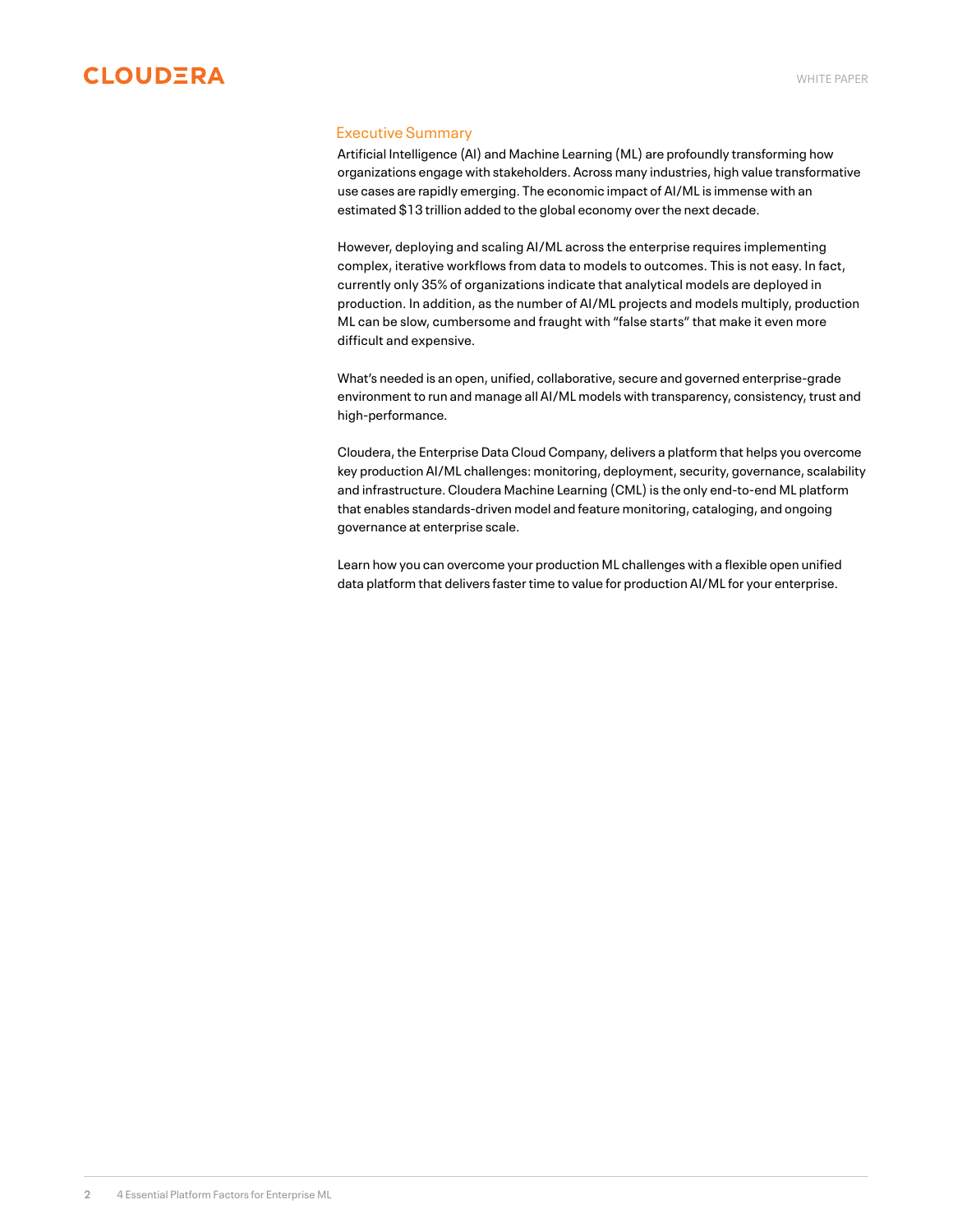<span id="page-1-0"></span>

## Executive Summary

Artificial Intelligence (AI) and Machine Learning (ML) are profoundly transforming how organizations engage with stakeholders. Across many industries, high value transformative use cases are rapidly emerging. The economic impact of AI/ML is immense with an estimated \$13 trillion added to the global economy over the next decade.

However, deploying and scaling AI/ML across the enterprise requires implementing complex, iterative workflows from data to models to outcomes. This is not easy. In fact, currently only 35% of organizations indicate that analytical models are deployed in production. In addition, as the number of AI/ML projects and models multiply, production ML can be slow, cumbersome and fraught with "false starts" that make it even more difficult and expensive.

What's needed is an open, unified, collaborative, secure and governed enterprise-grade environment to run and manage all AI/ML models with transparency, consistency, trust and high-performance.

Cloudera, the Enterprise Data Cloud Company, delivers a platform that helps you overcome key production AI/ML challenges: monitoring, deployment, security, governance, scalability and infrastructure. Cloudera Machine Learning (CML) is the only end-to-end ML platform that enables standards-driven model and feature monitoring, cataloging, and ongoing governance at enterprise scale.

Learn how you can overcome your production ML challenges with a flexible open unified data platform that delivers faster time to value for production AI/ML for your enterprise.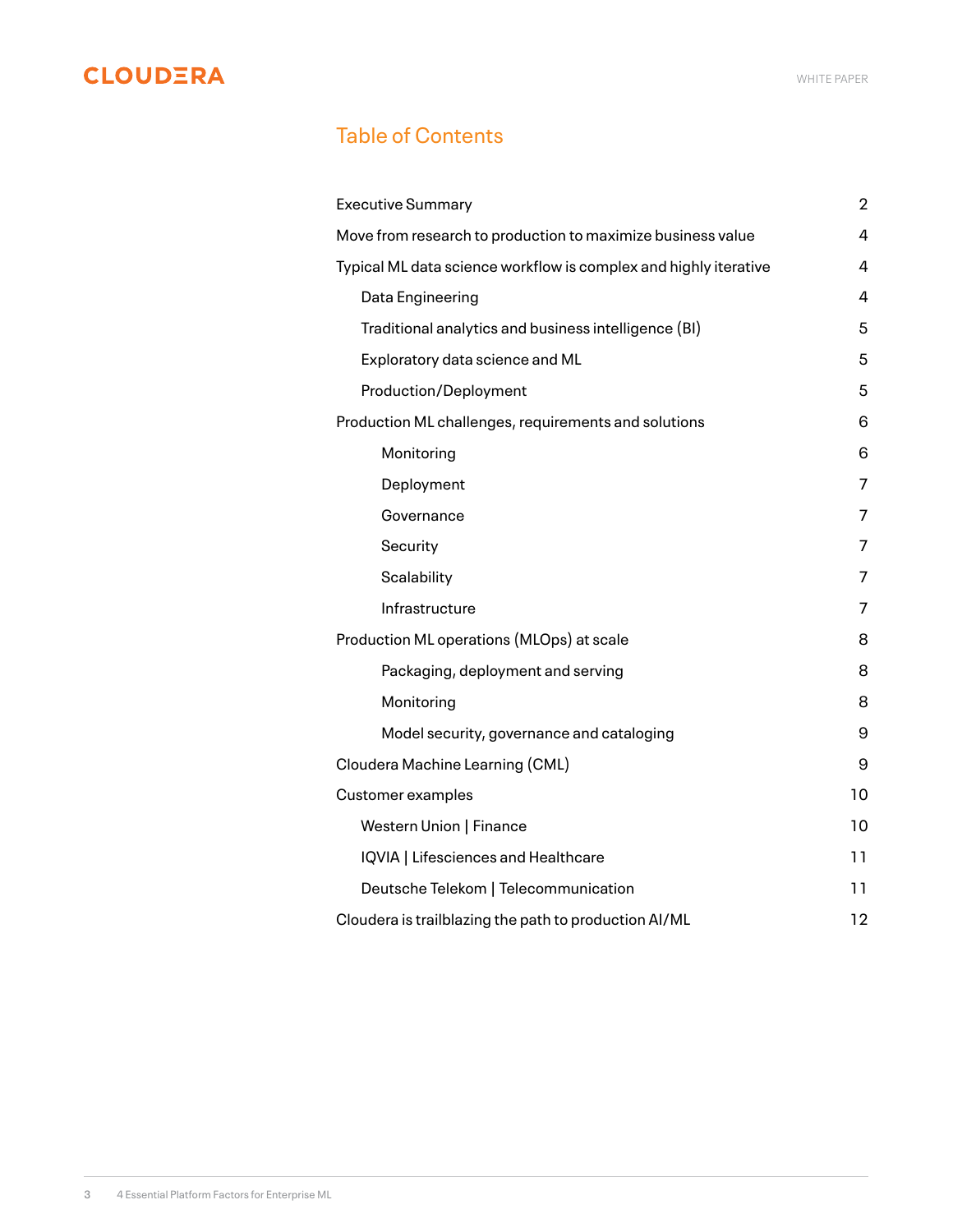# Table of Contents

| <b>Executive Summary</b>                                         | $\overline{2}$ |
|------------------------------------------------------------------|----------------|
| Move from research to production to maximize business value      | 4              |
| Typical ML data science workflow is complex and highly iterative | 4              |
| Data Engineering                                                 | 4              |
| Traditional analytics and business intelligence (BI)             | 5              |
| Exploratory data science and ML                                  | 5              |
| <b>Production/Deployment</b>                                     | 5              |
| Production ML challenges, requirements and solutions             | 6              |
| Monitoring                                                       | 6              |
| Deployment                                                       | 7              |
| Governance                                                       | 7              |
| Security                                                         | 7              |
| Scalability                                                      | 7              |
| Infrastructure                                                   | 7              |
| Production ML operations (MLOps) at scale                        | 8              |
| Packaging, deployment and serving                                | 8              |
| Monitoring                                                       | 8              |
| Model security, governance and cataloging                        | 9              |
| Cloudera Machine Learning (CML)                                  | 9              |
| Customer examples                                                | 10             |
| Western Union   Finance                                          | 10             |
| IQVIA   Lifesciences and Healthcare                              | 11             |
| Deutsche Telekom   Telecommunication                             | 11             |
| Cloudera is trailblazing the path to production AI/ML            | 12             |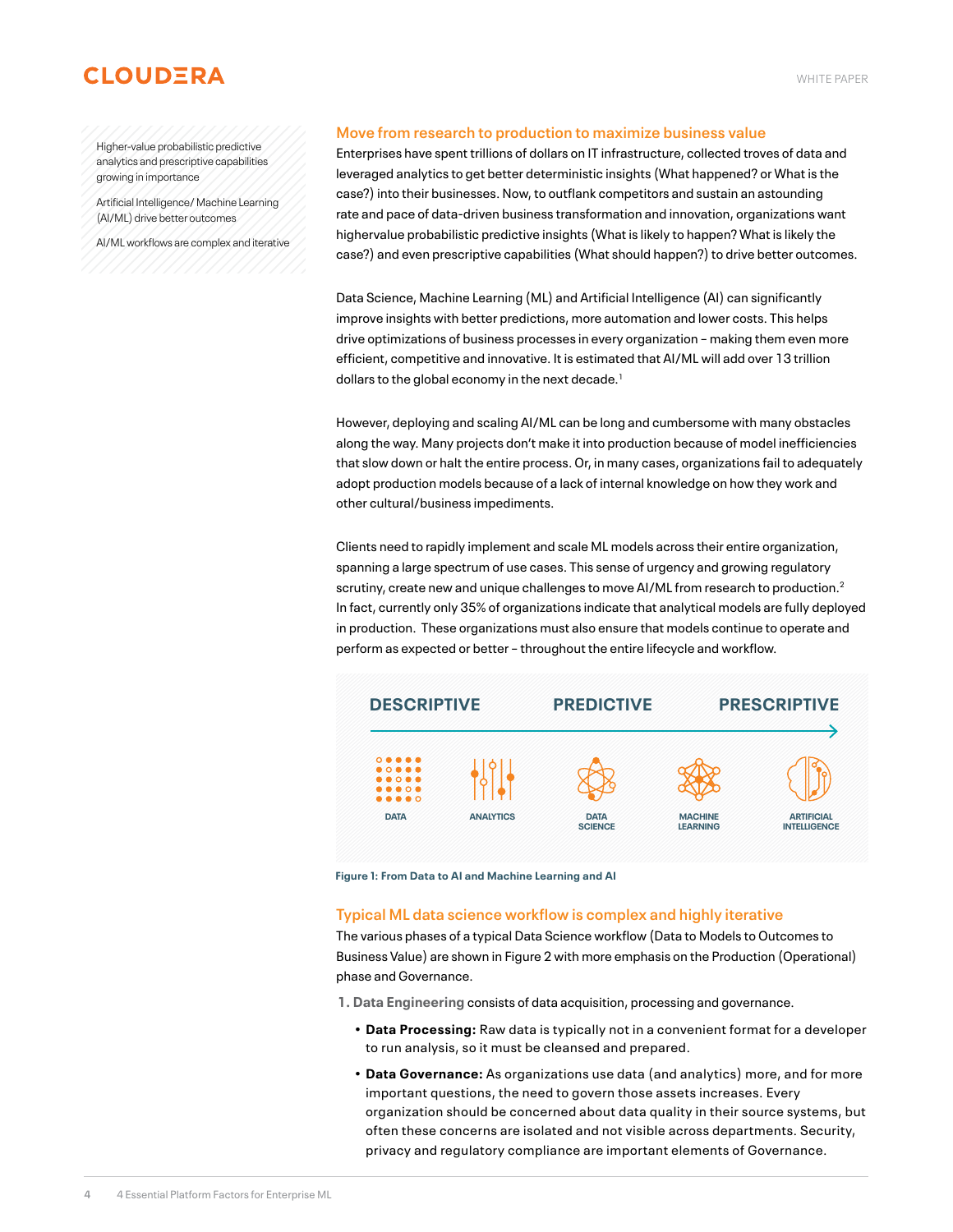<span id="page-3-0"></span>Higher-value probabilistic predictive analytics and prescriptive capabilities growing in importance

Artificial Intelligence/ Machine Learning (AI/ML) drive better outcomes

AI/ML workflows are complex and iterative

#### **Move from research to production to maximize business value**

Enterprises have spent trillions of dollars on IT infrastructure, collected troves of data and leveraged analytics to get better deterministic insights (What happened? or What is the case?) into their businesses. Now, to outflank competitors and sustain an astounding rate and pace of data-driven business transformation and innovation, organizations want highervalue probabilistic predictive insights (What is likely to happen? What is likely the case?) and even prescriptive capabilities (What should happen?) to drive better outcomes.

Data Science, Machine Learning (ML) and Artificial Intelligence (AI) can significantly improve insights with better predictions, more automation and lower costs. This helps drive optimizations of business processes in every organization – making them even more efficient, competitive and innovative. It is estimated that AI/ML will add over 13 trillion dollars to the global economy in the next decade.<sup>1</sup>

However, deploying and scaling AI/ML can be long and cumbersome with many obstacles along the way. Many projects don't make it into production because of model inefficiencies that slow down or halt the entire process. Or, in many cases, organizations fail to adequately adopt production models because of a lack of internal knowledge on how they work and other cultural/business impediments.

Clients need to rapidly implement and scale ML models across their entire organization, spanning a large spectrum of use cases. This sense of urgency and growing regulatory scrutiny, create new and unique challenges to move AI/ML from research to production.<sup>2</sup> In fact, currently only 35% of organizations indicate that analytical models are fully deployed in production. These organizations must also ensure that models continue to operate and perform as expected or better – throughout the entire lifecycle and workflow.



**Figure 1: From Data to AI and Machine Learning and AI**

#### **Typical ML data science workflow is complex and highly iterative**

The various phases of a typical Data Science workflow (Data to Models to Outcomes to Business Value) are shown in Figure 2 with more emphasis on the Production (Operational) phase and Governance.

**1. Data Engineering** consists of data acquisition, processing and governance.

- **• Data Processing:** Raw data is typically not in a convenient format for a developer to run analysis, so it must be cleansed and prepared.
- **• Data Governance:** As organizations use data (and analytics) more, and for more important questions, the need to govern those assets increases. Every organization should be concerned about data quality in their source systems, but often these concerns are isolated and not visible across departments. Security, privacy and regulatory compliance are important elements of Governance.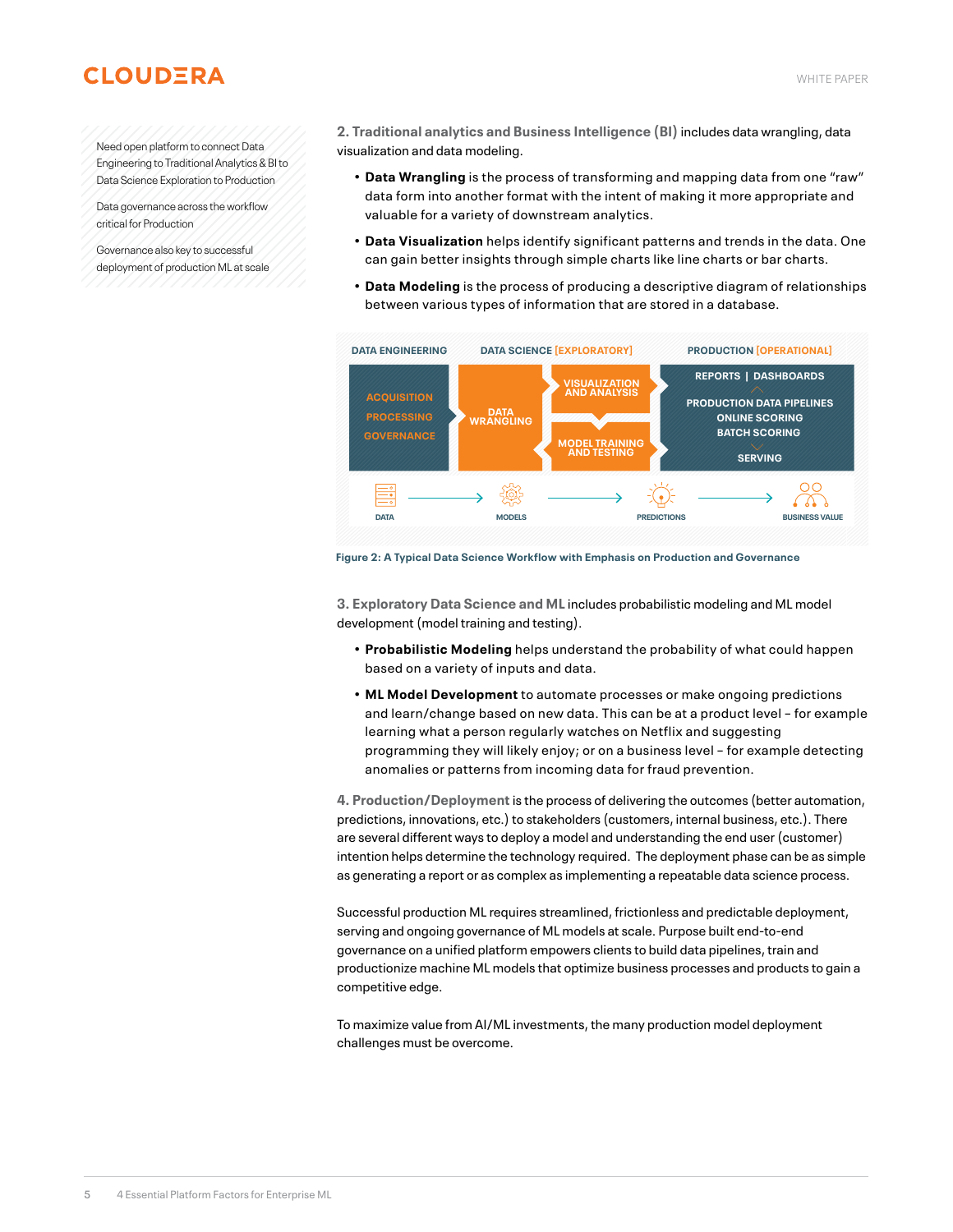# <span id="page-4-0"></span>Need open platform to connect Data

Engineering to Traditional Analytics & BI to Data Science Exploration to Production

Data governance across the workflow critical for Production

Governance also key to successful deployment of production ML at scale **2. Traditional analytics and Business Intelligence (BI)** includes data wrangling, data visualization and data modeling.

- **• Data Wrangling** is the process of transforming and mapping data from one "raw" data form into another format with the intent of making it more appropriate and valuable for a variety of downstream analytics.
- **• Data Visualization** helps identify significant patterns and trends in the data. One can gain better insights through simple charts like line charts or bar charts.
- **• Data Modeling** is the process of producing a descriptive diagram of relationships between various types of information that are stored in a database.



**Figure 2: A Typical Data Science Workflow with Emphasis on Production and Governance**

**3. Exploratory Data Science and ML** includes probabilistic modeling and ML model development (model training and testing).

- **• Probabilistic Modeling** helps understand the probability of what could happen based on a variety of inputs and data.
- **• ML Model Development** to automate processes or make ongoing predictions and learn/change based on new data. This can be at a product level – for example learning what a person regularly watches on Netflix and suggesting programming they will likely enjoy; or on a business level – for example detecting anomalies or patterns from incoming data for fraud prevention.

**4. Production/Deployment** is the process of delivering the outcomes (better automation, predictions, innovations, etc.) to stakeholders (customers, internal business, etc.). There are several different ways to deploy a model and understanding the end user (customer) intention helps determine the technology required. The deployment phase can be as simple as generating a report or as complex as implementing a repeatable data science process.

Successful production ML requires streamlined, frictionless and predictable deployment, serving and ongoing governance of ML models at scale. Purpose built end-to-end governance on a unified platform empowers clients to build data pipelines, train and productionize machine ML models that optimize business processes and products to gain a competitive edge.

To maximize value from AI/ML investments, the many production model deployment challenges must be overcome.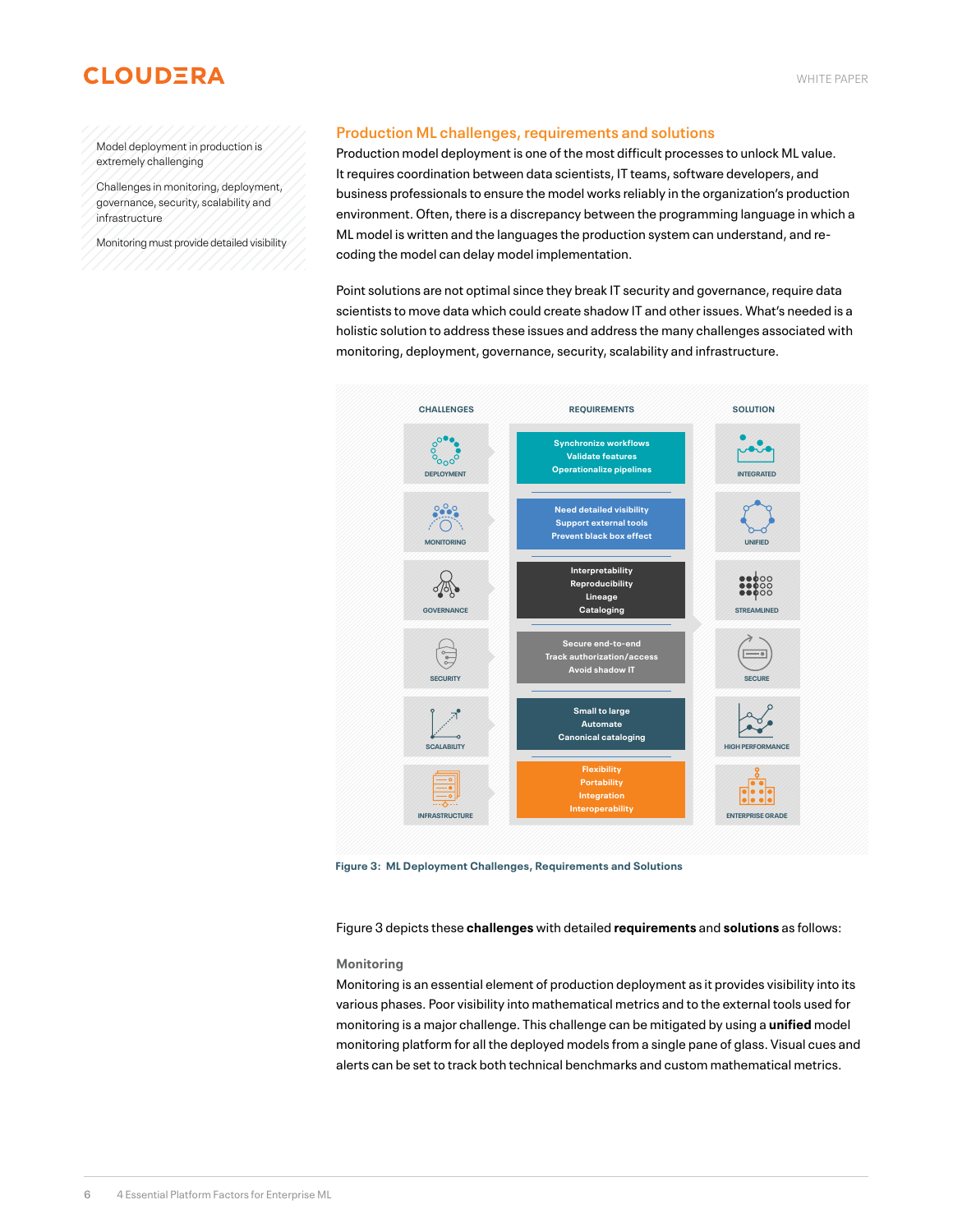<span id="page-5-0"></span>Model deployment in production is extremely challenging

Challenges in monitoring, deployment, governance, security, scalability and infrastructure

Monitoring must provide detailed visibility

# **Production ML challenges, requirements and solutions**

Production model deployment is one of the most difficult processes to unlock ML value. It requires coordination between data scientists, IT teams, software developers, and business professionals to ensure the model works reliably in the organization's production environment. Often, there is a discrepancy between the programming language in which a ML model is written and the languages the production system can understand, and recoding the model can delay model implementation.

Point solutions are not optimal since they break IT security and governance, require data scientists to move data which could create shadow IT and other issues. What's needed is a holistic solution to address these issues and address the many challenges associated with monitoring, deployment, governance, security, scalability and infrastructure.



**Figure 3: ML Deployment Challenges, Requirements and Solutions**

Figure 3 depicts these **challenges** with detailed **requirements** and **solutions** as follows:

#### **Monitoring**

Monitoring is an essential element of production deployment as it provides visibility into its various phases. Poor visibility into mathematical metrics and to the external tools used for monitoring is a major challenge. This challenge can be mitigated by using a **unified** model monitoring platform for all the deployed models from a single pane of glass. Visual cues and alerts can be set to track both technical benchmarks and custom mathematical metrics.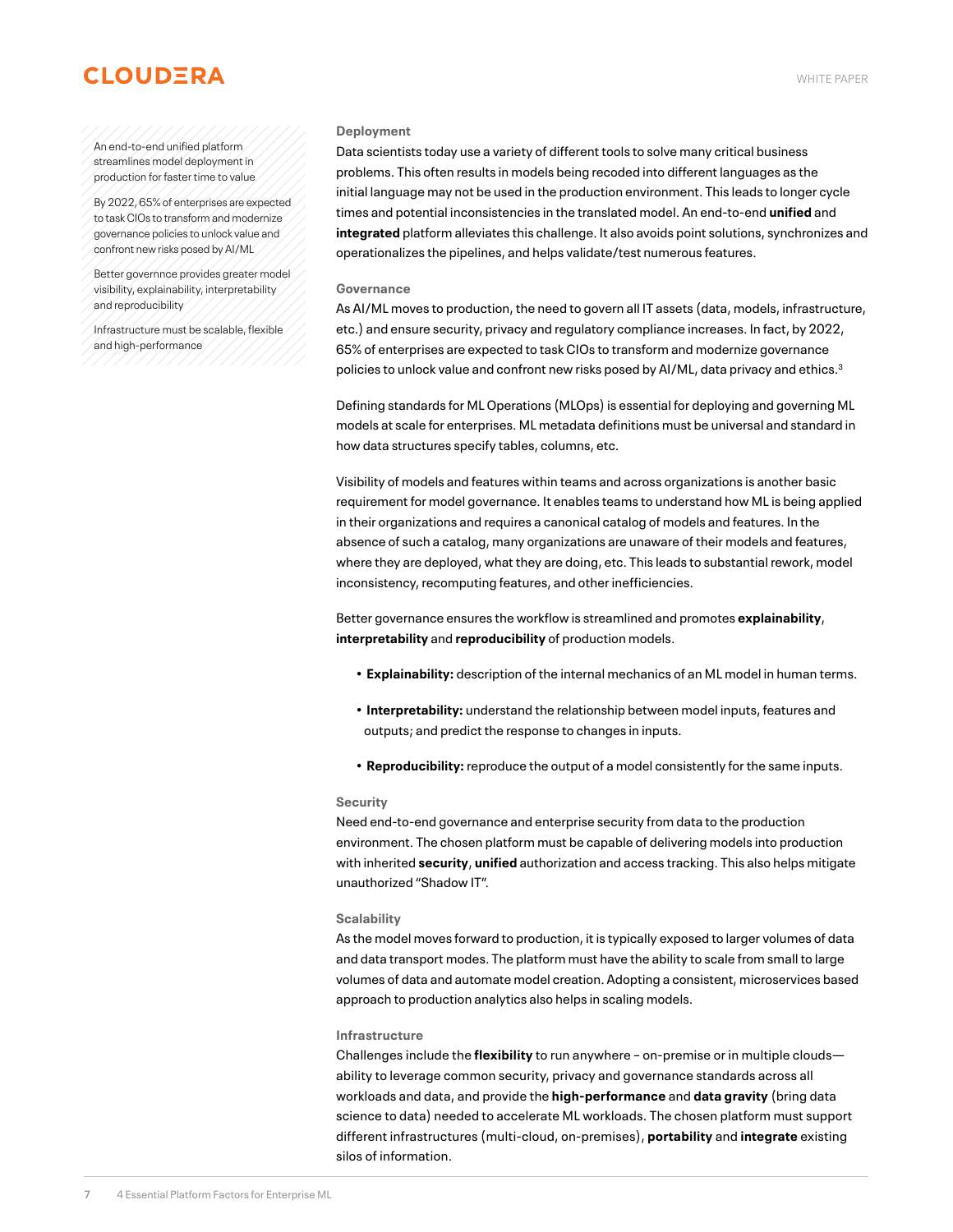#### <span id="page-6-0"></span>An end-to-end unified platform streamlines model deployment in production for faster time to value

By 2022, 65% of enterprises are expected to task CIOs to transform and modernize governance policies to unlock value and confront new risks posed by AI/ML

Better governnce provides greater model visibility, explainability, interpretability and reproducibility

Infrastructure must be scalable, flexible and high-performance

#### **Deployment**

Data scientists today use a variety of different tools to solve many critical business problems. This often results in models being recoded into different languages as the initial language may not be used in the production environment. This leads to longer cycle times and potential inconsistencies in the translated model. An end-to-end **unified** and **integrated** platform alleviates this challenge. It also avoids point solutions, synchronizes and operationalizes the pipelines, and helps validate/test numerous features.

#### **Governance**

As AI/ML moves to production, the need to govern all IT assets (data, models, infrastructure, etc.) and ensure security, privacy and regulatory compliance increases. In fact, by 2022, 65% of enterprises are expected to task CIOs to transform and modernize governance policies to unlock value and confront new risks posed by AI/ML, data privacy and ethics.<sup>3</sup>

Defining standards for ML Operations (MLOps) is essential for deploying and governing ML models at scale for enterprises. ML metadata definitions must be universal and standard in how data structures specify tables, columns, etc.

Visibility of models and features within teams and across organizations is another basic requirement for model governance. It enables teams to understand how ML is being applied in their organizations and requires a canonical catalog of models and features. In the absence of such a catalog, many organizations are unaware of their models and features, where they are deployed, what they are doing, etc. This leads to substantial rework, model inconsistency, recomputing features, and other inefficiencies.

Better governance ensures the workflow is streamlined and promotes **explainability**, **interpretability** and **reproducibility** of production models.

- **Explainability:** description of the internal mechanics of an ML model in human terms.
- **Interpretability:** understand the relationship between model inputs, features and outputs; and predict the response to changes in inputs.
- **Reproducibility:** reproduce the output of a model consistently for the same inputs.

#### **Security**

Need end-to-end governance and enterprise security from data to the production environment. The chosen platform must be capable of delivering models into production with inherited **security**, **unified** authorization and access tracking. This also helps mitigate unauthorized "Shadow IT".

#### **Scalability**

As the model moves forward to production, it is typically exposed to larger volumes of data and data transport modes. The platform must have the ability to scale from small to large volumes of data and automate model creation. Adopting a consistent, microservices based approach to production analytics also helps in scaling models.

#### **Infrastructure**

Challenges include the **flexibility** to run anywhere – on-premise or in multiple clouds ability to leverage common security, privacy and governance standards across all workloads and data, and provide the **high-performance** and **data gravity** (bring data science to data) needed to accelerate ML workloads. The chosen platform must support different infrastructures (multi-cloud, on-premises), **portability** and **integrate** existing silos of information.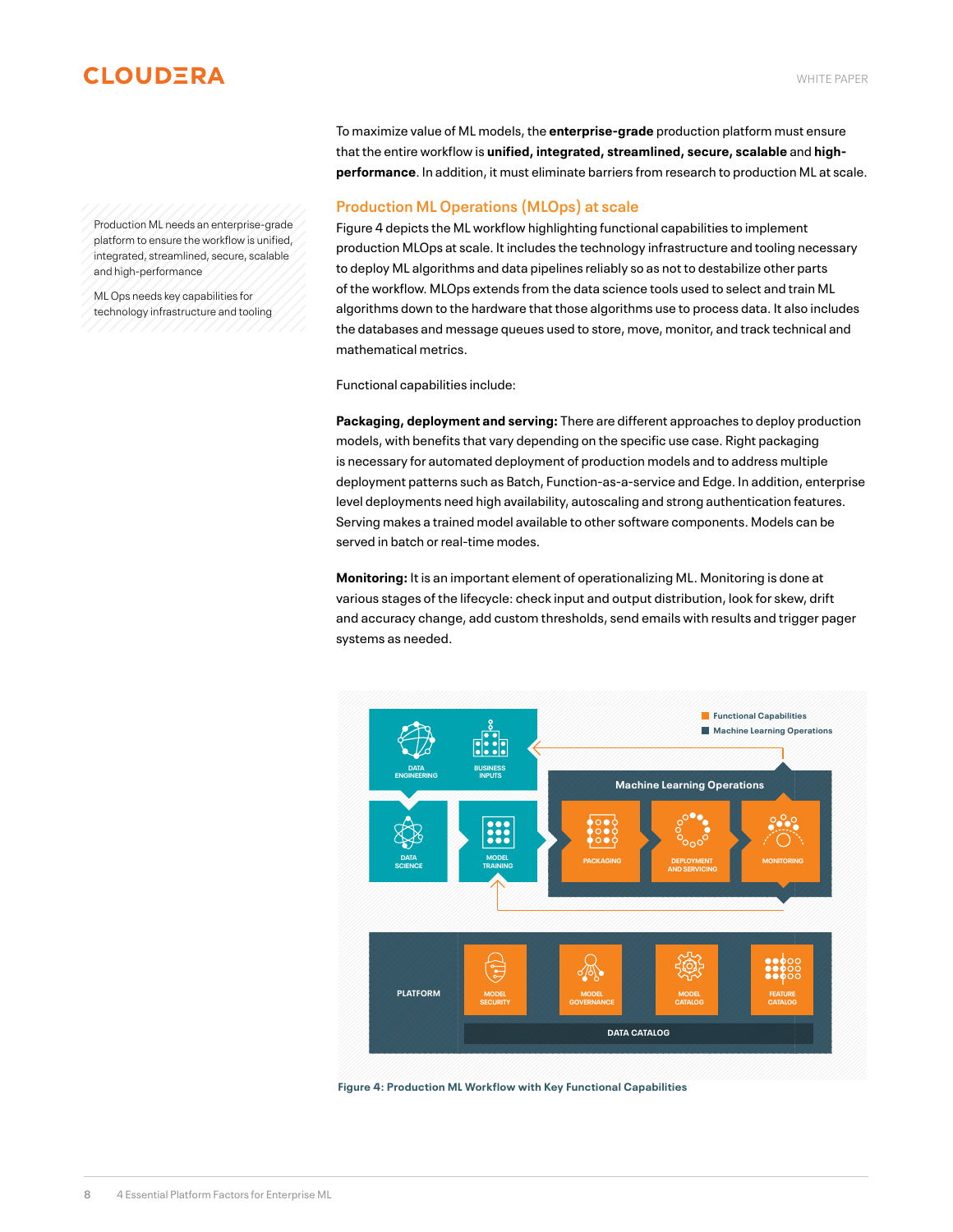<span id="page-7-0"></span>Production ML needs an enterprise-grade platform to ensure the workflow is unified, integrated, streamlined, secure, scalable and high-performance

ML Ops needs key capabilities for technology infrastructure and tooling To maximize value of ML models, the **enterprise-grade** production platform must ensure that the entire workflow is **unified, integrated, streamlined, secure, scalable** and **highperformance**. In addition, it must eliminate barriers from research to production ML at scale.

## **Production ML Operations (MLOps) at scale**

Figure 4 depicts the ML workflow highlighting functional capabilities to implement production MLOps at scale. It includes the technology infrastructure and tooling necessary to deploy ML algorithms and data pipelines reliably so as not to destabilize other parts of the workflow. MLOps extends from the data science tools used to select and train ML algorithms down to the hardware that those algorithms use to process data. It also includes the databases and message queues used to store, move, monitor, and track technical and mathematical metrics.

Functional capabilities include:

**Packaging, deployment and serving:** There are different approaches to deploy production models, with benefits that vary depending on the specific use case. Right packaging is necessary for automated deployment of production models and to address multiple deployment patterns such as Batch, Function-as-a-service and Edge. In addition, enterprise level deployments need high availability, autoscaling and strong authentication features. Serving makes a trained model available to other software components. Models can be served in batch or real-time modes.

**Monitoring:** It is an important element of operationalizing ML. Monitoring is done at various stages of the lifecycle: check input and output distribution, look for skew, drift and accuracy change, add custom thresholds, send emails with results and trigger pager systems as needed.



**Figure 4: Production ML Workflow with Key Functional Capabilities**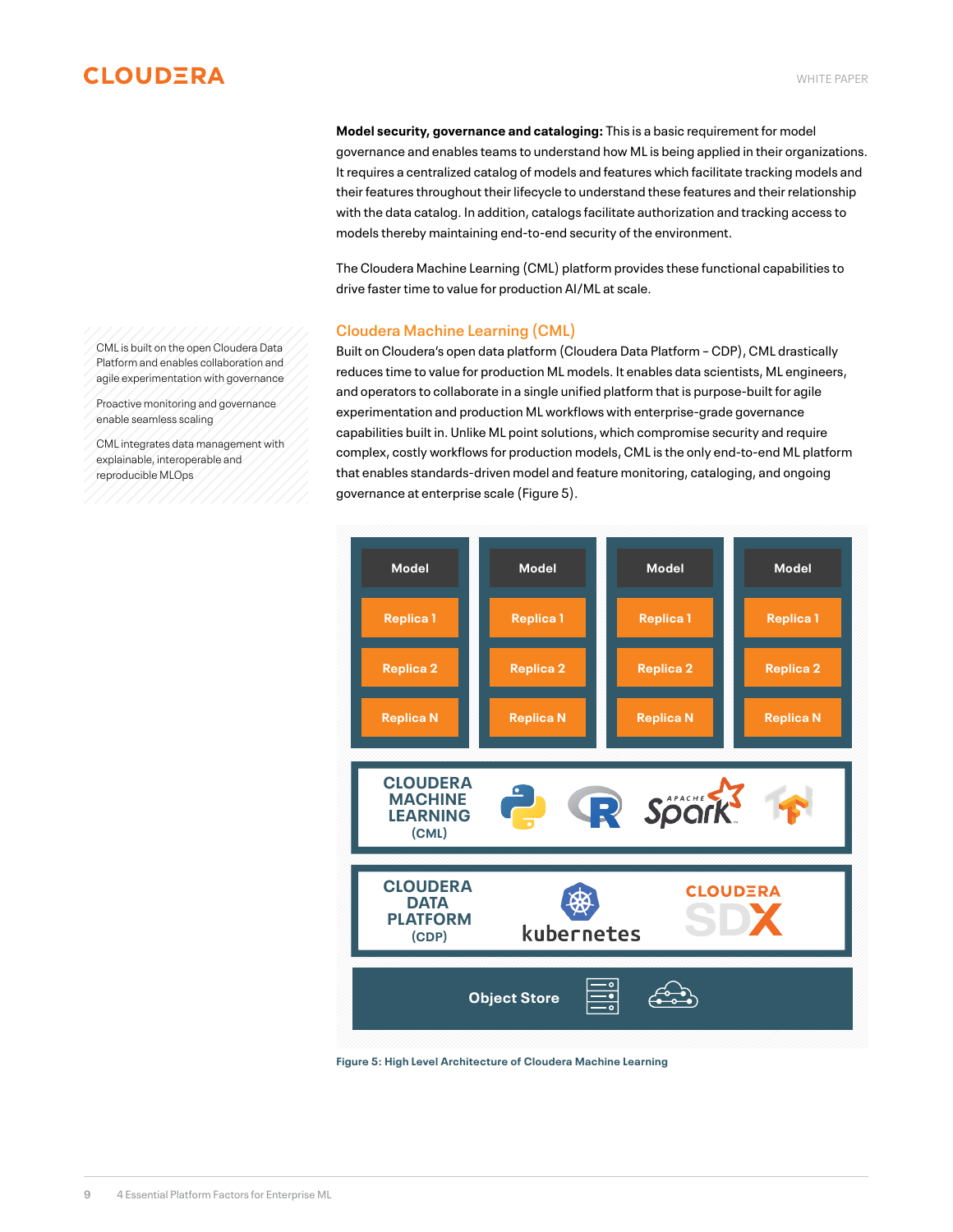**Model security, governance and cataloging:** This is a basic requirement for model governance and enables teams to understand how ML is being applied in their organizations. It requires a centralized catalog of models and features which facilitate tracking models and their features throughout their lifecycle to understand these features and their relationship with the data catalog. In addition, catalogs facilitate authorization and tracking access to models thereby maintaining end-to-end security of the environment.

The Cloudera Machine Learning (CML) platform provides these functional capabilities to drive faster time to value for production AI/ML at scale.

## **Cloudera Machine Learning (CML)**

Built on Cloudera's open data platform (Cloudera Data Platform – CDP), CML drastically reduces time to value for production ML models. It enables data scientists, ML engineers, and operators to collaborate in a single unified platform that is purpose-built for agile experimentation and production ML workflows with enterprise-grade governance capabilities built in. Unlike ML point solutions, which compromise security and require complex, costly workflows for production models, CML is the only end-to-end ML platform that enables standards-driven model and feature monitoring, cataloging, and ongoing governance at enterprise scale (Figure 5).



**Figure 5: High Level Architecture of Cloudera Machine Learning**

<span id="page-8-0"></span>CML is built on the open Cloudera Data Platform and enables collaboration and agile experimentation with governance

Proactive monitoring and governance enable seamless scaling

CML integrates data management with explainable, interoperable and reproducible MLOps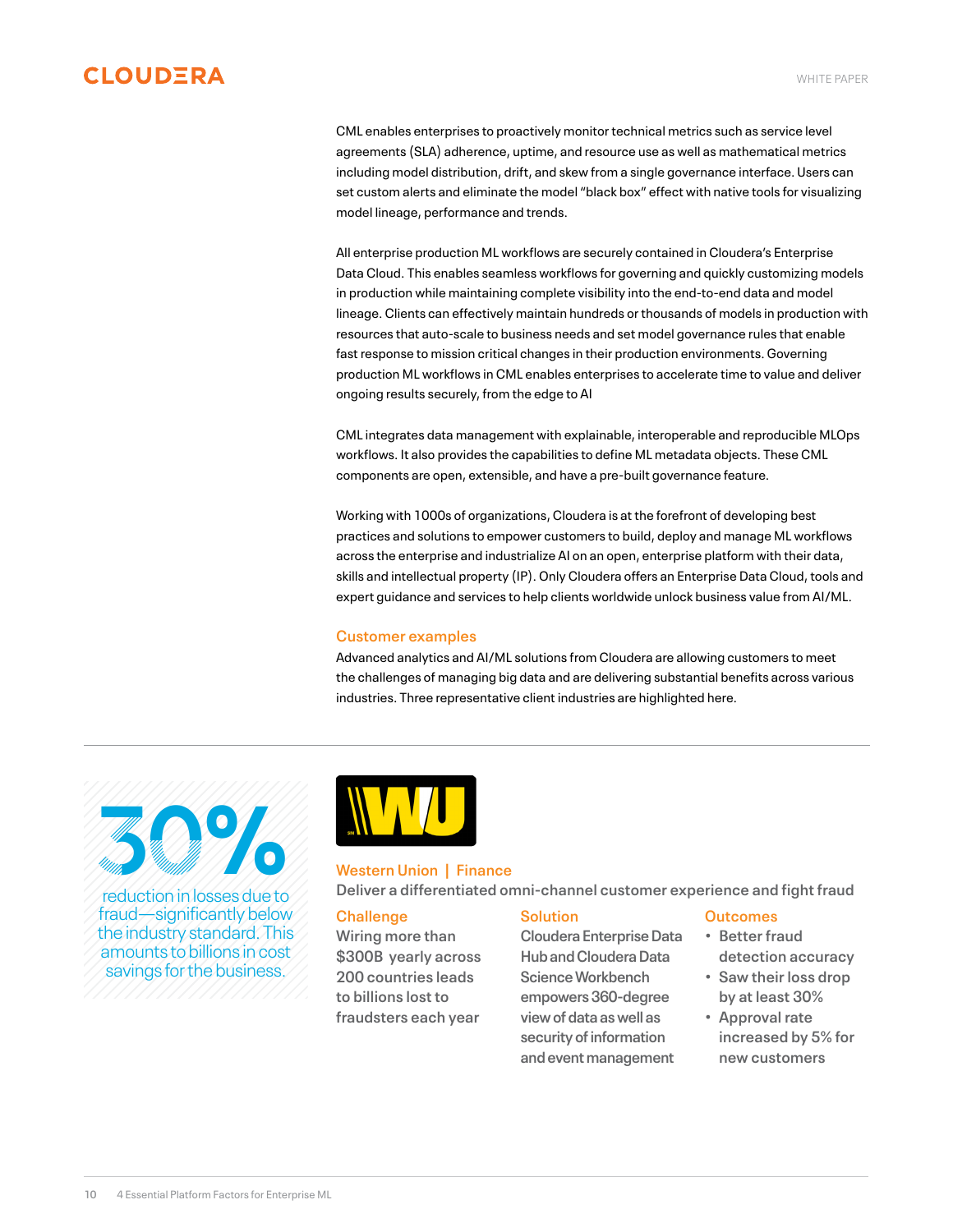<span id="page-9-0"></span>CML enables enterprises to proactively monitor technical metrics such as service level agreements (SLA) adherence, uptime, and resource use as well as mathematical metrics including model distribution, drift, and skew from a single governance interface. Users can set custom alerts and eliminate the model "black box" effect with native tools for visualizing model lineage, performance and trends.

All enterprise production ML workflows are securely contained in Cloudera's Enterprise Data Cloud. This enables seamless workflows for governing and quickly customizing models in production while maintaining complete visibility into the end-to-end data and model lineage. Clients can effectively maintain hundreds or thousands of models in production with resources that auto-scale to business needs and set model governance rules that enable fast response to mission critical changes in their production environments. Governing production ML workflows in CML enables enterprises to accelerate time to value and deliver ongoing results securely, from the edge to AI

CML integrates data management with explainable, interoperable and reproducible MLOps workflows. It also provides the capabilities to define ML metadata objects. These CML components are open, extensible, and have a pre-built governance feature.

Working with 1000s of organizations, Cloudera is at the forefront of developing best practices and solutions to empower customers to build, deploy and manage ML workflows across the enterprise and industrialize AI on an open, enterprise platform with their data, skills and intellectual property (IP). Only Cloudera offers an Enterprise Data Cloud, tools and expert guidance and services to help clients worldwide unlock business value from AI/ML.

## **Customer examples**

Advanced analytics and AI/ML solutions from Cloudera are allowing customers to meet the challenges of managing big data and are delivering substantial benefits across various industries. Three representative client industries are highlighted here.

30%

reduction in losses due to fraud—significantly below the industry standard. This amounts to billions in cost savings for the business.



## **Western Union | Finance**

**Deliver a differentiated omni-channel customer experience and fight fraud** 

## **Challenge**

**Wiring more than \$300B yearly across 200 countries leads to billions lost to fraudsters each year**

## **Solution**

**Cloudera Enterprise Data Hub and Cloudera Data Science Workbench empowers 360-degree view of data as well as security of information and event management**

#### **Outcomes**

- **• Better fraud detection accuracy**
- **• Saw their loss drop by at least 30%**
- **• Approval rate increased by 5% for new customers**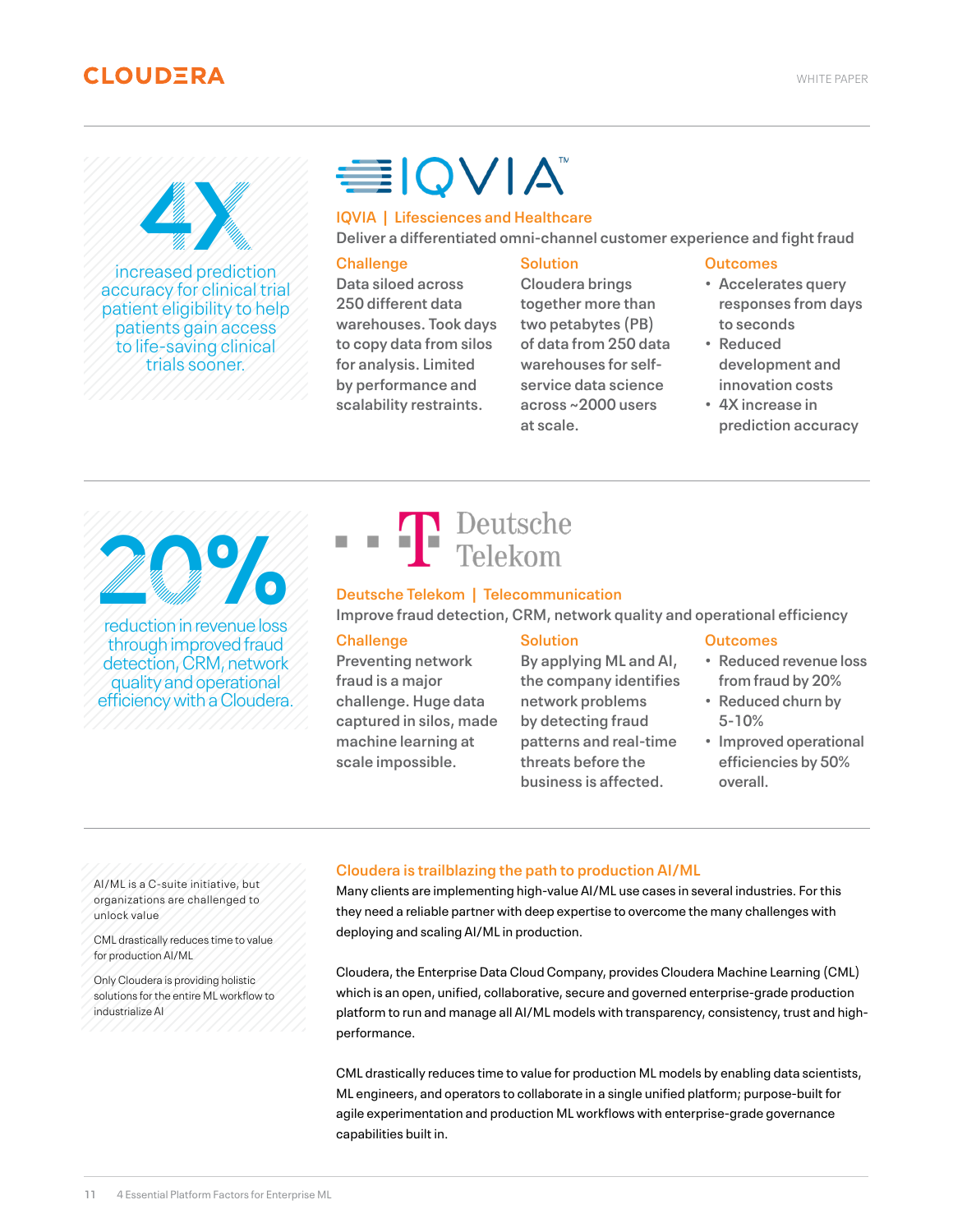<span id="page-10-0"></span>increased prediction 4X

accuracy for clinical trial patient eligibility to help patients gain access to life-saving clinical trials sooner.

# **EIQVIA**

# **IQVIA | Lifesciences and Healthcare**

**Deliver a differentiated omni-channel customer experience and fight fraud** 

## **Challenge**

**Data siloed across 250 different data warehouses. Took days to copy data from silos for analysis. Limited by performance and scalability restraints.**

## **Solution**

**Cloudera brings together more than two petabytes (PB) of data from 250 data warehouses for selfservice data science across ~2000 users at scale.**

#### **Outcomes**

- **• Accelerates query responses from days to seconds**
- **• Reduced development and innovation costs**
- **• 4X increase in prediction accuracy**

20%

reduction in revenue loss through improved fraud detection, CRM, network quality and operational efficiency with a Cloudera.



## **Deutsche Telekom | Telecommunication**

**Improve fraud detection, CRM, network quality and operational efficiency**

## **Challenge**

**Preventing network fraud is a major challenge. Huge data captured in silos, made machine learning at scale impossible.**

## **Solution**

**By applying ML and AI, the company identifies network problems by detecting fraud patterns and real-time threats before the business is affected.**

## **Outcomes**

- **• Reduced revenue loss from fraud by 20%**
- **• Reduced churn by 5-10%**
- **• Improved operational efficiencies by 50% overall.**

AI/ML is a C-suite initiative, but organizations are challenged to unlock value

CML drastically reduces time to value for production AI/ML

Only Cloudera is providing holistic solutions for the entire ML workflow to industrialize AI

# **Cloudera is trailblazing the path to production AI/ML**

Many clients are implementing high-value AI/ML use cases in several industries. For this they need a reliable partner with deep expertise to overcome the many challenges with deploying and scaling AI/ML in production.

Cloudera, the Enterprise Data Cloud Company, provides Cloudera Machine Learning (CML) which is an open, unified, collaborative, secure and governed enterprise-grade production platform to run and manage all AI/ML models with transparency, consistency, trust and highperformance.

CML drastically reduces time to value for production ML models by enabling data scientists, ML engineers, and operators to collaborate in a single unified platform; purpose-built for agile experimentation and production ML workflows with enterprise-grade governance capabilities built in.